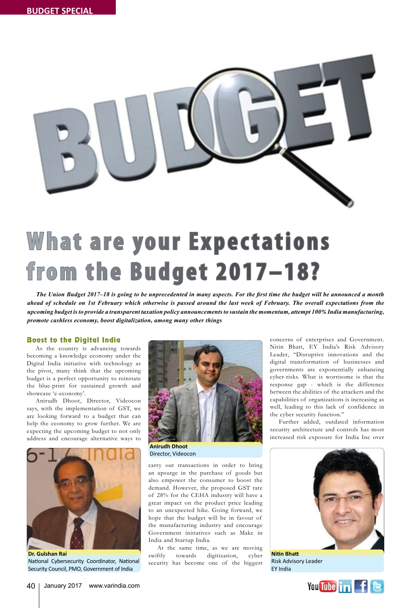

# **What are your Expectations from the Budget 2017–18?**

*The Union Budget 2017–18 is going to be unprecedented in many aspects. For the first time the budget will be announced a month ahead of schedule on 1st February which otherwise is passed around the last week of February. The overall expectations from the upcoming budget is to provide a transparent taxation policy announcements to sustain the momentum, attempt 100% India manufacturing, promote cashless economy, boost digitalization, among many other things*

## Boost to the Digital India

As the country is advancing towards becoming a knowledge economy under the Digital India initiative with technology as the pivot, many think that the upcoming budget is a perfect opportunity to reinstate the blue-print for sustained growth and showcase 'e-economy'.

Anirudh Dhoot, Director, Videocon says, with the implementation of GST, we are looking forward to a budget that can help the economy to grow further. We are expecting the upcoming budget to not only address and encourage alternative ways to



Security Council, PMO, Government of India

National Cybersecurity Coordinator, National



Director, Videocon

carry out transactions in order to bring an upsurge in the purchase of goods but also empower the consumer to boost the demand. However, the proposed GST rate of 28% for the CEHA industry will have a great impact on the product price leading to an unexpected hike. Going forward, we hope that the budget will be in favour of the manufacturing industry and encourage Government initiatives such as Make in India and Startup India.

At the same time, as we are moving swiftly towards digitization, cyber security has become one of the biggest

concerns of enterprises and Government. Nitin Bhatt, EY India's Risk Advisory Leader, "Disruptive innovations and the digital transformation of businesses and governments are exponentially enhancing cyber-risks. What is worrisome is that the response gap - which is the difference between the abilities of the attackers and the capabilities of organizations is increasing as well, leading to this lack of confidence in the cyber security function."

Further added, outdated information security architecture and controls has most increased risk exposure for India Inc over



Risk Advisory Leader EY India

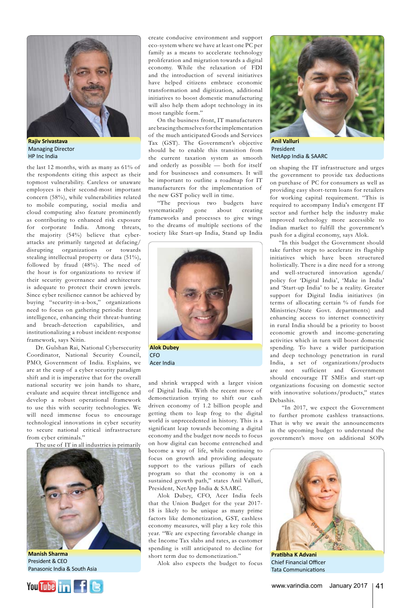

**Rajiv Srivastava** Managing Director HP Inc India

the last 12 months, with as many as 61% of the respondents citing this aspect as their topmost vulnerability. Careless or unaware employees is their second-most important concern (58%), while vulnerabilities related to mobile computing, social media and cloud computing also feature prominently as contributing to enhanced risk exposure for corporate India. Among threats, the majority (54%) believe that cyberattacks are primarily targeted at defacing/ disrupting organizations or towards stealing intellectual property or data (51%), followed by fraud (48%). The need of the hour is for organizations to review if their security governance and architecture is adequate to protect their crown jewels. Since cyber resilience cannot be achieved by buying "security-in-a-box," organizations need to focus on gathering periodic threat intelligence, enhancing their threat-hunting and breach-detection capabilities, and institutionalizing a robust incident-response framework, says Nitin.

Dr. Gulshan Rai, National Cybersecurity Coordinator, National Security Council, PMO, Government of India. Explains, we are at the cusp of a cyber security paradigm shift and it is imperative that for the overall national security we join hands to share, evaluate and acquire threat intelligence and develop a robust operational framework to use this with security technologies. We will need immense focus to encourage technological innovations in cyber security to secure national critical infrastructure from cyber criminals."

The use of IT in all industries is primarily



**Manish Sharma** international control in the courage President & CEO buying in the countries of the countries to the countries to the countries to the countries to the countries o



create conducive environment and support eco-system where we have at least one PC per family as a means to accelerate technology proliferation and migration towards a digital economy. While the relaxation of FDI and the introduction of several initiatives have helped citizens embrace economic transformation and digitization, additional initiatives to boost domestic manufacturing will also help them adopt technology in its most tangible form."

On the business front, IT manufacturers are bracing themselves for the implementation of the much anticipated Goods and Services Tax (GST). The Government's objective should be to enable this transition from the current taxation system as smooth and orderly as possible — both for itself and for businesses and consumers. It will be important to outline a roadmap for IT manufacturers for the implementation of the new GST policy well in time.

"The previous two budgets have systematically gone about creating frameworks and processes to give wings to the dreams of multiple sections of the society like Start-up India, Stand up India



**Alok Dubey CFO** Acer India

and shrink wrapped with a larger vision of Digital India. With the recent move of demonetization trying to shift our cash driven economy of 1.2 billion people and getting them to leap frog to the digital world is unprecedented in history. This is a significant leap towards becoming a digital economy and the budget now needs to focus on how digital can become entrenched and become a way of life, while continuing to focus on growth and providing adequate support to the various pillars of each program so that the economy is on a sustained growth path," states Anil Valluri, President, NetApp India & SAARC.

Alok Dubey, CFO, Acer India feels that the Union Budget for the year 2017- 18 is likely to be unique as many prime factors like demonetization, GST, cashless economy measures, will play a key role this year. "We are expecting favorable change in the Income Tax slabs and rates, as customer spending is still anticipated to decline for short term due to demonetization."

Alok also expects the budget to focus



**Anil Valluri** President NetApp India & SAARC

on shaping the IT infrastructure and urges the government to provide tax deductions on purchase of PC for consumers as well as providing easy short-term loans for retailers for working capital requirement. "This is required to accompany India's emergent IT sector and further help the industry make improved technology more accessible to Indian market to fulfill the government's push for a digital economy, says Alok.

"In this budget the Government should take further steps to accelerate its flagship initiatives which have been structured holistically. There is a dire need for a strong and well-structured innovation agenda/ policy for 'Digital India', 'Make in India' and 'Start-up India' to be a reality. Greater support for Digital India initiatives (in terms of allocating certain % of funds for Ministries/State Govt. departments) and enhancing access to internet connectivity in rural India should be a priority to boost economic growth and income-generating activities which in turn will boost domestic spending. To have a wider participation and deep technology penetration in rural India, a set of organizations/products are not sufficient and Government should encourage IT SMEs and start-up organizations focusing on domestic sector with innovative solutions/products," states Debashis.

 "In 2017, we expect the Government to further promote cashless transactions. That is why we await the announcements in the upcoming budget to understand the government's move on additional SOPs



**Pratibha K Advani** Chief Financial Officer Tata Communications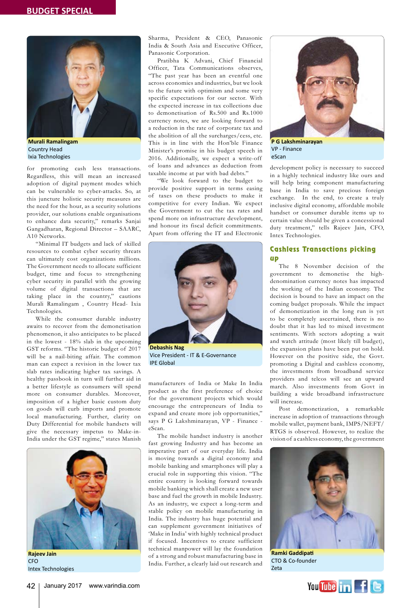

**Murali Ramalingam** Country Head Ixia Technologies

for promoting cash less transactions. Regardless, this will mean an increased adoption of digital payment modes which can be vulnerable to cyber-attacks. So, at this juncture holistic security measures are the need for the hour, as a security solutions provider, our solutions enable organisations to enhance data security," remarks Sanjai Gangadharan, Regional Director – SAARC, A10 Networks.

"Minimal IT budgets and lack of skilled resources to combat cyber security threats can ultimately cost organizations millions. The Government needs to allocate sufficient budget, time and focus to strengthening cyber security in parallel with the growing volume of digital transactions that are taking place in the country," cautions Murali Ramalingam , Country Head- Ixia Technologies.

While the consumer durable industry awaits to recover from the demonetisation phenomenon, it also anticipates to be placed in the lowest - 18% slab in the upcoming GST reforms. "The historic budget of 2017 will be a nail-biting affair. The common man can expect a revision in the lower tax slab rates indicating higher tax savings. A healthy passbook in turn will further aid in a better lifestyle as consumers will spend more on consumer durables. Moreover, imposition of a higher basic custom duty on goods will curb imports and promote local manufacturing. Further, clarity on Duty Differential for mobile handsets will give the necessary impetus to Make-in-India under the GST regime," states Manish



**Rajeev Jain CFO** Intex Technologies

Sharma, President & CEO, Panasonic India & South Asia and Executive Officer, Panasonic Corporation.

Pratibha K Advani, Chief Financial Officer, Tata Communications observes, "The past year has been an eventful one across economies and industries, but we look to the future with optimism and some very specific expectations for our sector. With the expected increase in tax collections due to demonetisation of Rs.500 and Rs.1000 currency notes, we are looking forward to a reduction in the rate of corporate tax and the abolition of all the surcharges/cess, etc. This is in line with the Hon'ble Finance Minister's promise in his budget speech in 2016. Additionally, we expect a write-off of loans and advances as deduction from taxable income at par with bad debts."

"We look forward to the budget to provide positive support in terms easing of taxes on these products to make it competitive for every Indian. We expect the Government to cut the tax rates and spend more on infrastructure development, and honour its fiscal deficit commitments. Apart from offering the IT and Electronic



**Debashis Nag** Vice President - IT & E-Governance IPE Global

manufacturers of India or Make In India product as the first preference of choice for the government projects which would encourage the entrepreneurs of India to expand and create more job opportunities," says P G Lakshminarayan, VP - Finance eScan.

The mobile handset industry is another fast growing Industry and has become an imperative part of our everyday life. India is moving towards a digital economy and mobile banking and smartphones will play a crucial role in supporting this vision. "The entire country is looking forward towards mobile banking which shall create a new user base and fuel the growth in mobile Industry. As an industry, we expect a long-term and stable policy on mobile manufacturing in India. The industry has huge potential and can supplement government initiatives of 'Make in India' with highly technical product if focused. Incentives to create sufficient technical manpower will lay the foundation of a strong and robust manufacturing base in India. Further, a clearly laid out research and



VP - Finance eScan

development policy is necessary to succeed in a highly technical industry like ours and will help bring component manufacturing base in India to save precious foreign exchange. In the end, to create a truly inclusive digital economy, affordable mobile handset or consumer durable items up to certain value should be given a concessional duty treatment," tells Rajeev Jain, CFO, Intex Technologies.

## Cashless Transactions picking up

The 8 November decision of the government to demonetise the highdenomination currency notes has impacted the working of the Indian economy. The decision is bound to have an impact on the coming budget proposals. While the impact of demonetization in the long run is yet to be completely ascertained, there is no doubt that it has led to mixed investment sentiments. With sectors adopting a wait and watch attitude (most likely till budget), the expansion plans have been put on hold. However on the positive side, the Govt. promoting a Digital and cashless economy, the investments from broadband service providers and telcos will see an upward march. Also investments from Govt in building a wide broadband infrastructure will increase.

Post demonetization, a remarkable increase in adoption of transactions through mobile wallet, payment bank, IMPS/NEFT/ RTGS is observed. However, to realize the vision of a cashless economy, the government



**Ramki Gaddipati** CTO & Co-founder Zeta